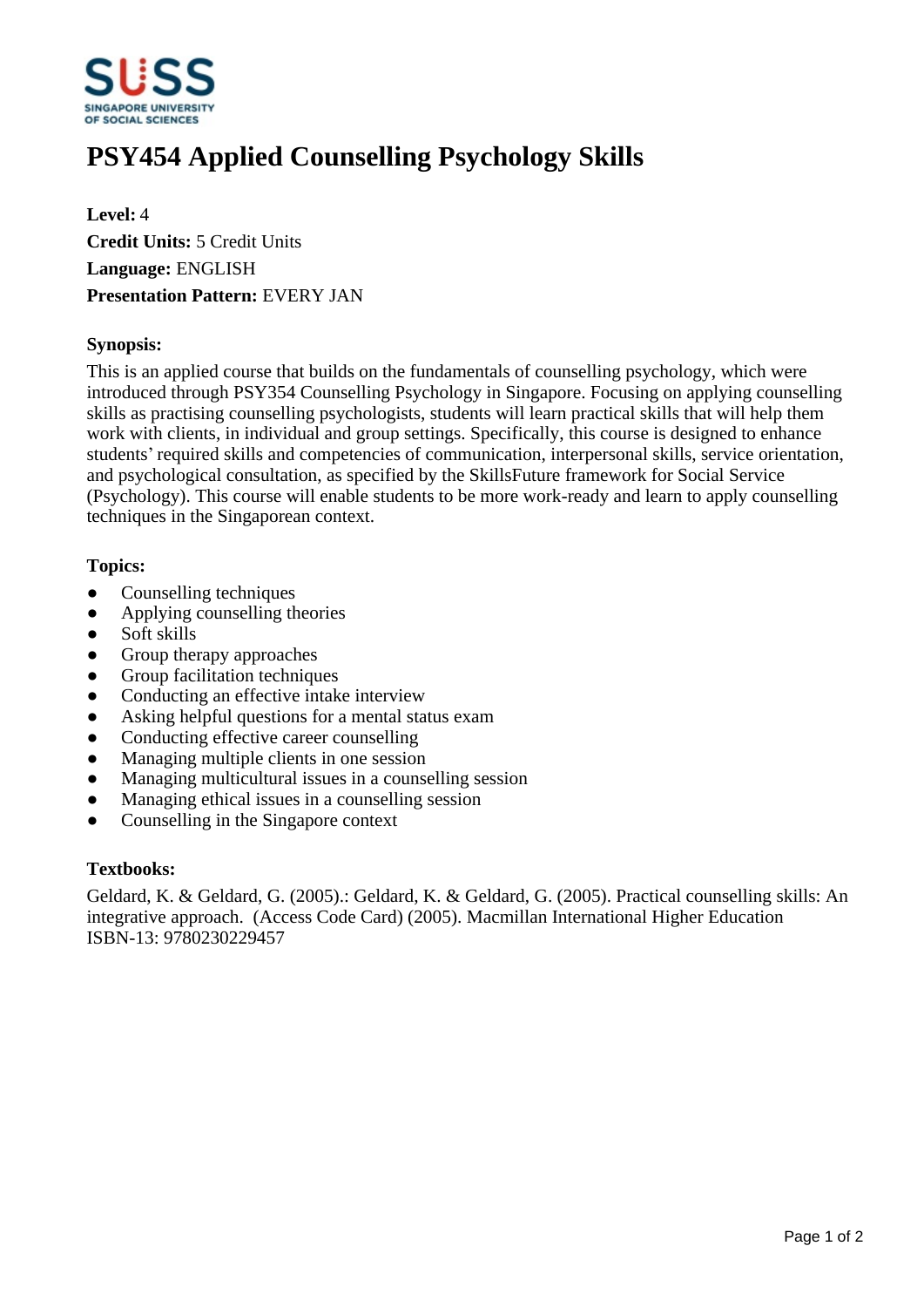

# **PSY454 Applied Counselling Psychology Skills**

**Level:** 4 **Credit Units:** 5 Credit Units **Language:** ENGLISH **Presentation Pattern:** EVERY JAN

## **Synopsis:**

This is an applied course that builds on the fundamentals of counselling psychology, which were introduced through PSY354 Counselling Psychology in Singapore. Focusing on applying counselling skills as practising counselling psychologists, students will learn practical skills that will help them work with clients, in individual and group settings. Specifically, this course is designed to enhance students' required skills and competencies of communication, interpersonal skills, service orientation, and psychological consultation, as specified by the SkillsFuture framework for Social Service (Psychology). This course will enable students to be more work-ready and learn to apply counselling techniques in the Singaporean context.

## **Topics:**

- Counselling techniques
- Applying counselling theories
- Soft skills
- Group therapy approaches
- Group facilitation techniques
- Conducting an effective intake interview
- Asking helpful questions for a mental status exam
- Conducting effective career counselling
- Managing multiple clients in one session
- Managing multicultural issues in a counselling session
- Managing ethical issues in a counselling session
- Counselling in the Singapore context

#### **Textbooks:**

Geldard, K. & Geldard, G. (2005).: Geldard, K. & Geldard, G. (2005). Practical counselling skills: An integrative approach. (Access Code Card) (2005). Macmillan International Higher Education ISBN-13: 9780230229457